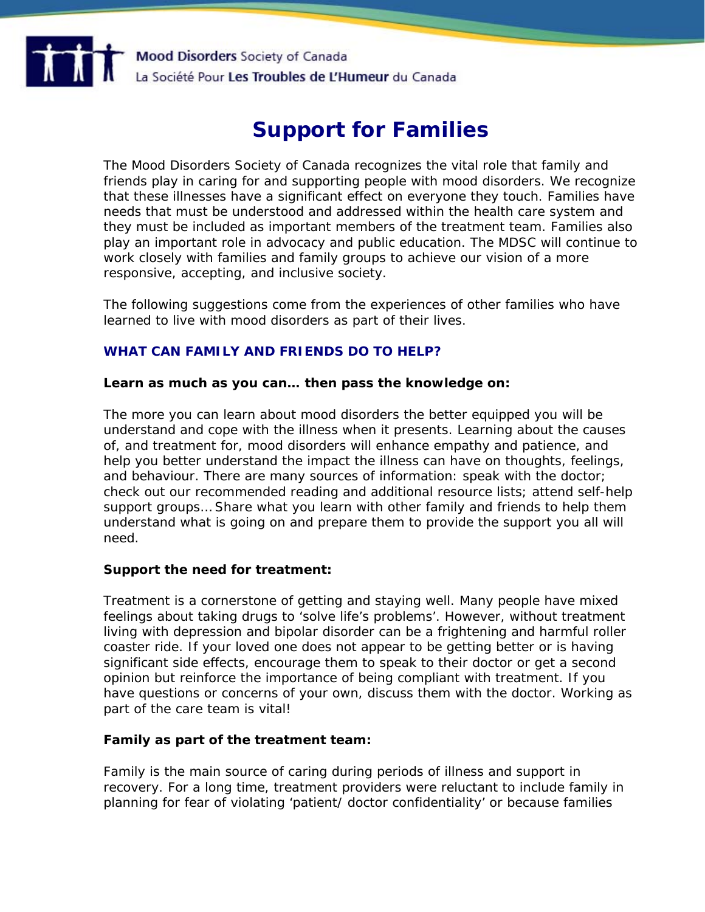

# **Support for Families**

*The Mood Disorders Society of Canada recognizes the vital role that family and friends play in caring for and supporting people with mood disorders. We recognize that these illnesses have a significant effect on everyone they touch. Families have needs that must be understood and addressed within the health care system and they must be included as important members of the treatment team. Families also play an important role in advocacy and public education. The MDSC will continue to work closely with families and family groups to achieve our vision of a more responsive, accepting, and inclusive society.* 

*The following suggestions come from the experiences of other families who have learned to live with mood disorders as part of their lives.* 

# **WHAT CAN FAMILY AND FRIENDS DO TO HELP?**

#### **Learn as much as you can… then pass the knowledge on:**

The more you can learn about mood disorders the better equipped you will be understand and cope with the illness when it presents. Learning about the causes of, and treatment for, mood disorders will enhance empathy and patience, and help you better understand the impact the illness can have on thoughts, feelings, and behaviour. There are many sources of information: speak with the doctor; check out our recommended reading and additional resource lists; attend self-help support groups… Share what you learn with other family and friends to help them understand what is going on and prepare them to provide the support you all will need.

#### **Support the need for treatment:**

Treatment is a cornerstone of getting and staying well. Many people have mixed feelings about taking drugs to 'solve life's problems'. However, without treatment living with depression and bipolar disorder can be a frightening and harmful roller coaster ride. If your loved one does not appear to be getting better or is having significant side effects, encourage them to speak to their doctor or get a second opinion but reinforce the importance of being compliant with treatment. If you have questions or concerns of your own, discuss them with the doctor. Working as part of the care team is vital!

#### **Family as part of the treatment team:**

Family is the main source of caring during periods of illness and support in recovery. For a long time, treatment providers were reluctant to include family in planning for fear of violating 'patient/ doctor confidentiality' or because families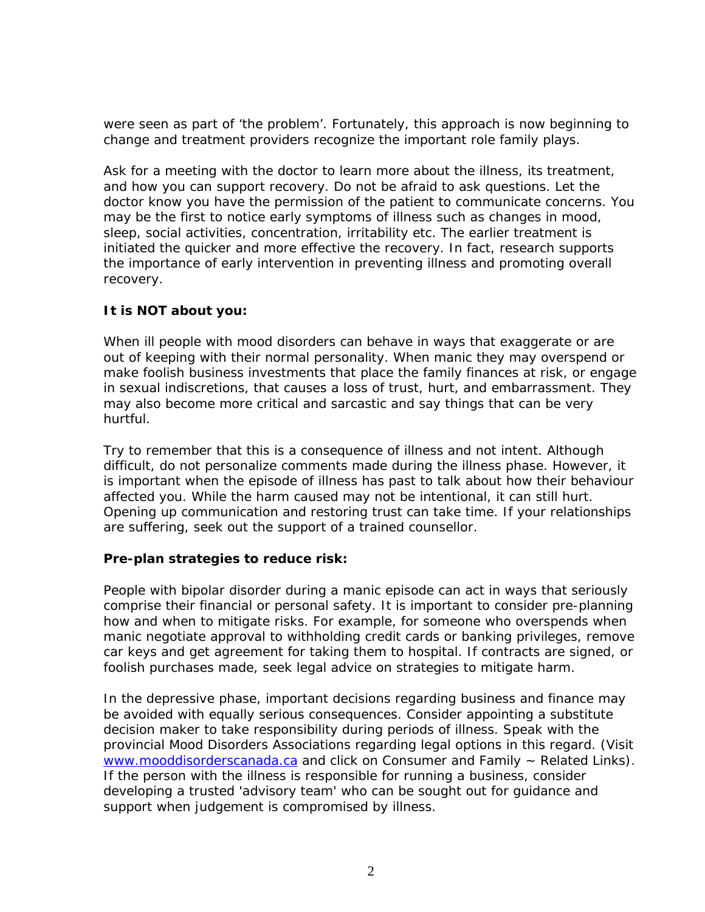were seen as part of 'the problem'. Fortunately, this approach is now beginning to change and treatment providers recognize the important role family plays.

Ask for a meeting with the doctor to learn more about the illness, its treatment, and how you can support recovery. Do not be afraid to ask questions. Let the doctor know you have the permission of the patient to communicate concerns. You may be the first to notice early symptoms of illness such as changes in mood, sleep, social activities, concentration, irritability etc. The earlier treatment is initiated the quicker and more effective the recovery. In fact, research supports the importance of early intervention in preventing illness and promoting overall recovery.

# **It is NOT about you:**

When ill people with mood disorders can behave in ways that exaggerate or are out of keeping with their normal personality. When manic they may overspend or make foolish business investments that place the family finances at risk, or engage in sexual indiscretions, that causes a loss of trust, hurt, and embarrassment. They may also become more critical and sarcastic and say things that can be very hurtful.

Try to remember that this is a consequence of illness and not intent. Although difficult, do not personalize comments made during the illness phase. However, it is important when the episode of illness has past to talk about how their behaviour affected you. While the harm caused may not be intentional, it can still hurt. Opening up communication and restoring trust can take time. If your relationships are suffering, seek out the support of a trained counsellor.

# **Pre-plan strategies to reduce risk:**

People with bipolar disorder during a manic episode can act in ways that seriously comprise their financial or personal safety. It is important to consider pre-planning how and when to mitigate risks. For example, for someone who overspends when manic negotiate approval to withholding credit cards or banking privileges, remove car keys and get agreement for taking them to hospital. If contracts are signed, or foolish purchases made, seek legal advice on strategies to mitigate harm.

In the depressive phase, important decisions regarding business and finance may be avoided with equally serious consequences. Consider appointing a substitute decision maker to take responsibility during periods of illness. Speak with the provincial Mood Disorders Associations regarding legal options in this regard. (Visit [www.mooddisorderscanada.ca](http://www.mooddisorderscanada.ca/) and click on Consumer and Family  $\sim$  Related Links). If the person with the illness is responsible for running a business, consider developing a trusted 'advisory team' who can be sought out for guidance and support when judgement is compromised by illness.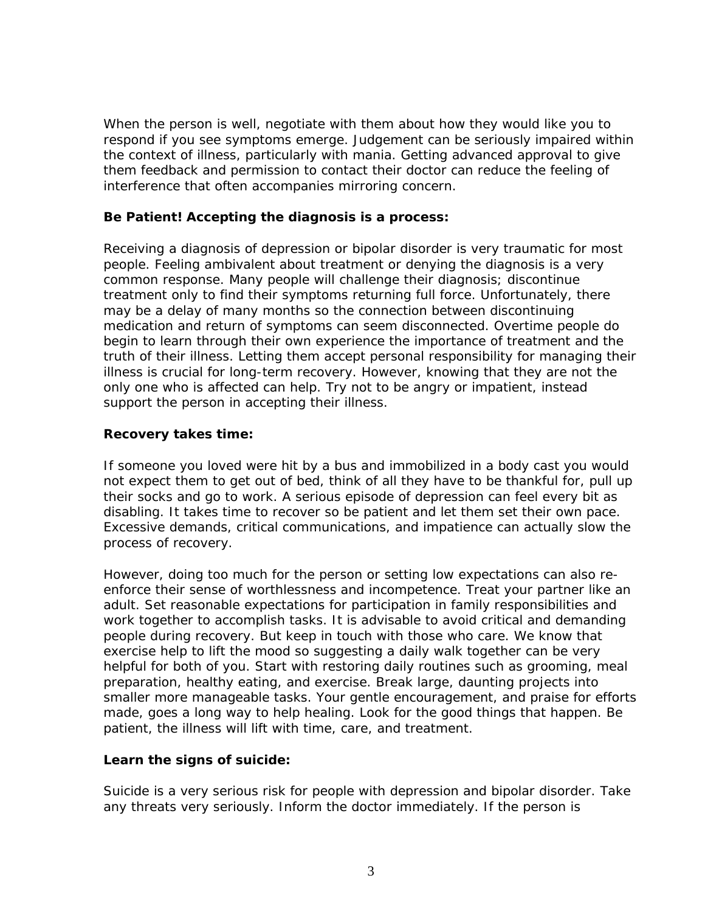When the person is well, negotiate with them about how they would like you to respond if you see symptoms emerge. Judgement can be seriously impaired within the context of illness, particularly with mania. Getting advanced approval to give them feedback and permission to contact their doctor can reduce the feeling of interference that often accompanies mirroring concern.

# **Be Patient! Accepting the diagnosis is a process:**

Receiving a diagnosis of depression or bipolar disorder is very traumatic for most people. Feeling ambivalent about treatment or denying the diagnosis is a very common response. Many people will challenge their diagnosis; discontinue treatment only to find their symptoms returning full force. Unfortunately, there may be a delay of many months so the connection between discontinuing medication and return of symptoms can seem disconnected. Overtime people do begin to learn through their own experience the importance of treatment and the truth of their illness. Letting them accept personal responsibility for managing their illness is crucial for long-term recovery. However, knowing that they are not the only one who is affected can help. Try not to be angry or impatient, instead support the person in accepting their illness.

# **Recovery takes time:**

If someone you loved were hit by a bus and immobilized in a body cast you would not expect them to get out of bed, think of all they have to be thankful for, pull up their socks and go to work. A serious episode of depression can feel every bit as disabling. It takes time to recover so be patient and let them set their own pace. Excessive demands, critical communications, and impatience can actually slow the process of recovery.

However, doing too much for the person or setting low expectations can also reenforce their sense of worthlessness and incompetence. Treat your partner like an adult. Set reasonable expectations for participation in family responsibilities and work together to accomplish tasks. It is advisable to avoid critical and demanding people during recovery. But keep in touch with those who care. We know that exercise help to lift the mood so suggesting a daily walk together can be very helpful for both of you. Start with restoring daily routines such as grooming, meal preparation, healthy eating, and exercise. Break large, daunting projects into smaller more manageable tasks. Your gentle encouragement, and praise for efforts made, goes a long way to help healing. Look for the good things that happen. Be patient, the illness will lift with time, care, and treatment.

#### **Learn the signs of suicide:**

Suicide is a very serious risk for people with depression and bipolar disorder. Take any threats very seriously. Inform the doctor immediately. If the person is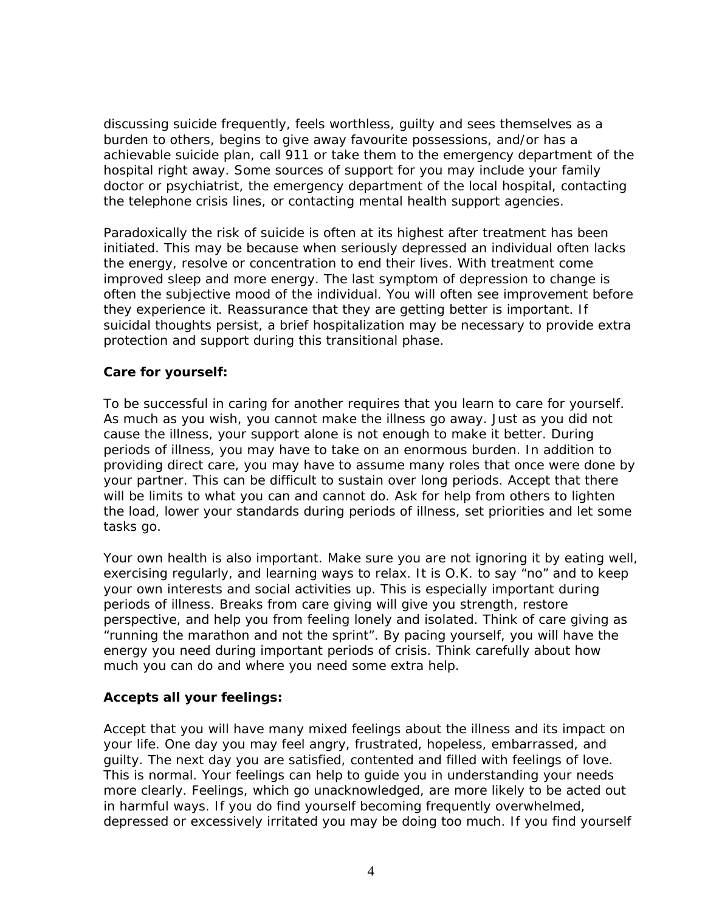discussing suicide frequently, feels worthless, guilty and sees themselves as a burden to others, begins to give away favourite possessions, and/or has a achievable suicide plan, call 911 or take them to the emergency department of the hospital right away. Some sources of support for you may include your family doctor or psychiatrist, the emergency department of the local hospital, contacting the telephone crisis lines, or contacting mental health support agencies.

Paradoxically the risk of suicide is often at its highest after treatment has been initiated. This may be because when seriously depressed an individual often lacks the energy, resolve or concentration to end their lives. With treatment come improved sleep and more energy. The last symptom of depression to change is often the subjective mood of the individual. You will often see improvement before they experience it. Reassurance that they are getting better is important. If suicidal thoughts persist, a brief hospitalization may be necessary to provide extra protection and support during this transitional phase.

#### **Care for yourself:**

To be successful in caring for another requires that you learn to care for yourself. As much as you wish, you cannot make the illness go away. Just as you did not cause the illness, your support alone is not enough to make it better. During periods of illness, you may have to take on an enormous burden. In addition to providing direct care, you may have to assume many roles that once were done by your partner. This can be difficult to sustain over long periods. Accept that there will be limits to what you can and cannot do. Ask for help from others to lighten the load, lower your standards during periods of illness, set priorities and let some tasks go.

Your own health is also important. Make sure you are not ignoring it by eating well, exercising regularly, and learning ways to relax. It is O.K. to say "no" and to keep your own interests and social activities up. This is especially important during periods of illness. Breaks from care giving will give you strength, restore perspective, and help you from feeling lonely and isolated. Think of care giving as "running the marathon and not the sprint". By pacing yourself, you will have the energy you need during important periods of crisis. Think carefully about how much you can do and where you need some extra help.

#### **Accepts all your feelings:**

Accept that you will have many mixed feelings about the illness and its impact on your life. One day you may feel angry, frustrated, hopeless, embarrassed, and guilty. The next day you are satisfied, contented and filled with feelings of love. This is normal. Your feelings can help to guide you in understanding your needs more clearly. Feelings, which go unacknowledged, are more likely to be acted out in harmful ways. If you do find yourself becoming frequently overwhelmed, depressed or excessively irritated you may be doing too much. If you find yourself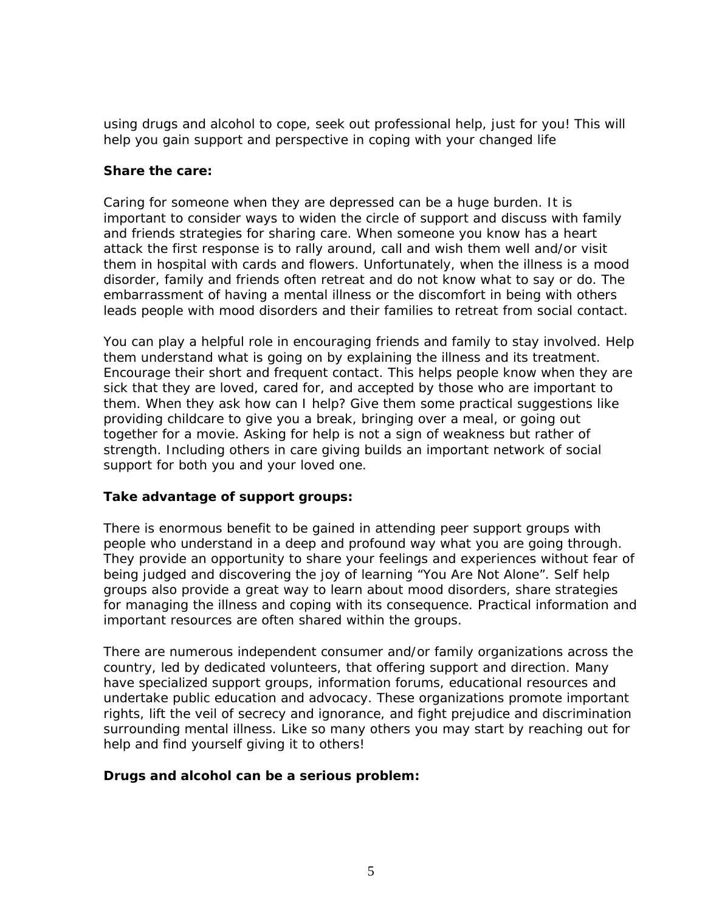using drugs and alcohol to cope, seek out professional help, *just for you!* This will help you gain support and perspective in coping with your changed life

#### **Share the care:**

Caring for someone when they are depressed can be a huge burden. It is important to consider ways to widen the circle of support and discuss with family and friends strategies for sharing care. When someone you know has a heart attack the first response is to rally around, call and wish them well and/or visit them in hospital with cards and flowers. Unfortunately, when the illness is a mood disorder, family and friends often retreat and do not know what to say or do. The embarrassment of having a mental illness or the discomfort in being with others leads people with mood disorders and their families to retreat from social contact.

You can play a helpful role in encouraging friends and family to stay involved. Help them understand what is going on by explaining the illness and its treatment. Encourage their short and frequent contact. This helps people know when they are sick that they are loved, cared for, and accepted by those who are important to them. When they ask how can I help? Give them some practical suggestions like providing childcare to give you a break, bringing over a meal, or going out together for a movie. Asking for help is not a sign of weakness but rather of strength. Including others in care giving builds an important network of social support for both *you and your loved one*.

#### **Take advantage of support groups:**

There is enormous benefit to be gained in attending peer support groups with people who understand in a deep and profound way what you are going through. They provide an opportunity to share your feelings and experiences without fear of being judged and discovering the joy of learning "You Are Not Alone". Self help groups also provide a great way to learn about mood disorders, share strategies for managing the illness and coping with its consequence. Practical information and important resources are often shared within the groups.

There are numerous independent consumer and/or family organizations across the country, led by dedicated volunteers, that offering support and direction. Many have specialized support groups, information forums, educational resources and undertake public education and advocacy. These organizations promote important rights, lift the veil of secrecy and ignorance, and fight prejudice and discrimination surrounding mental illness. Like so many others you may start by reaching out for help and find yourself giving it to others!

#### **Drugs and alcohol can be a serious problem:**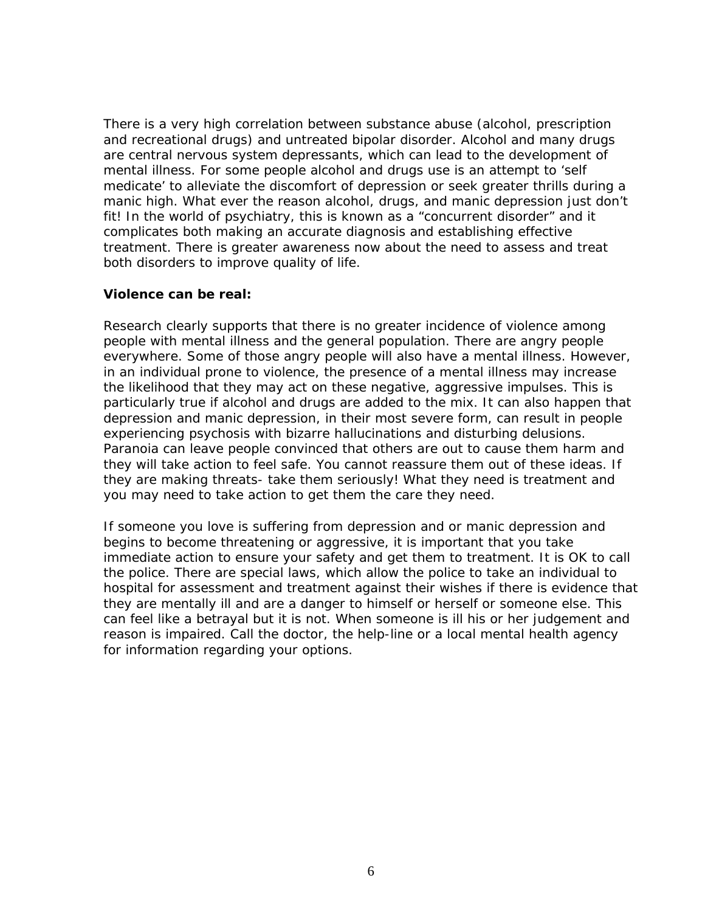There is a very high correlation between substance abuse (alcohol, prescription and recreational drugs) and untreated bipolar disorder. Alcohol and many drugs are central nervous system depressants, which can lead to the development of mental illness. For some people alcohol and drugs use is an attempt to 'self medicate' to alleviate the discomfort of depression or seek greater thrills during a manic high. What ever the reason alcohol, drugs, and manic depression just don't fit! In the world of psychiatry, this is known as a "concurrent disorder" and it complicates both making an accurate diagnosis and establishing effective treatment. There is greater awareness now about the need to assess and treat both disorders to improve quality of life.

#### **Violence can be real:**

Research clearly supports that there is no greater incidence of violence among people with mental illness and the general population. There are angry people everywhere. Some of those angry people will also have a mental illness. However, in an individual prone to violence, the presence of a mental illness may increase the likelihood that they may act on these negative, aggressive impulses. This is particularly true if alcohol and drugs are added to the mix. It can also happen that depression and manic depression, in their most severe form, can result in people experiencing psychosis with bizarre hallucinations and disturbing delusions. Paranoia can leave people convinced that others are out to cause them harm and they will take action to feel safe. You cannot reassure them out of these ideas. If they are making threats- take them seriously! What they need is treatment and you may need to take action to get them the care they need.

If someone you love is suffering from depression and or manic depression and begins to become threatening or aggressive, it is important that you take immediate action to ensure your safety and get them to treatment. It is OK to call the police. There are special laws, which allow the police to take an individual to hospital for assessment and treatment against their wishes if there is evidence that they are mentally ill and are a danger to himself or herself or someone else. This can feel like a betrayal but it is not. When someone is ill his or her judgement and reason is impaired. Call the doctor, the help-line or a local mental health agency for information regarding your options.